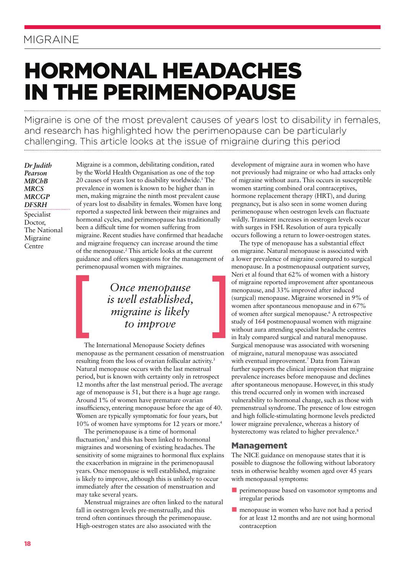# HORMONAL HEADACHES IN THE PERIMENOPAUSE

Migraine is one of the most prevalent causes of years lost to disability in females, and research has highlighted how the perimenopause can be particularly challenging. This article looks at the issue of migraine during this period

*Dr Judith Pearson MBChB MRCS MRCGP DFSRH*  Specialist Doctor, The National Migraine Centre

Migraine is a common, debilitating condition, rated by the World Health Organisation as one of the top 20 causes of years lost to disability worldwide.<sup>1</sup> The prevalence in women is known to be higher than in men, making migraine the ninth most prevalent cause of years lost to disability in females. Women have long reported a suspected link between their migraines and hormonal cycles, and perimenopause has traditionally been a difficult time for women suffering from migraine. Recent studies have confirmed that headache and migraine frequency can increase around the time of the menopause.<sup>2</sup> This article looks at the current guidance and offers suggestions for the management of perimenopausal women with migraines.

## *Once menopause is well established, migraine is likely to improve*

The International Menopause Society defines menopause as the permanent cessation of menstruation resulting from the loss of ovarian follicular activity.<sup>3</sup> Natural menopause occurs with the last menstrual period, but is known with certainty only in retrospect 12 months after the last menstrual period. The average age of menopause is 51, but there is a huge age range. Around 1% of women have premature ovarian insufficiency, entering menopause before the age of 40. Women are typically symptomatic for four years, but 10% of women have symptoms for 12 years or more.<sup>4</sup>

The perimenopause is a time of hormonal fluctuation,<sup>5</sup> and this has been linked to hormonal migraines and worsening of existing headaches. The sensitivity of some migraines to hormonal flux explains the exacerbation in migraine in the perimenopausal years. Once menopause is well established, migraine is likely to improve, although this is unlikely to occur immediately after the cessation of menstruation and may take several years.

Menstrual migraines are often linked to the natural fall in oestrogen levels pre-menstrually, and this trend often continues through the perimenopause. High-oestrogen states are also associated with the

development of migraine aura in women who have not previously had migraine or who had attacks only of migraine without aura. This occurs in susceptible women starting combined oral contraceptives, hormone replacement therapy (HRT), and during pregnancy, but is also seen in some women during perimenopause when oestrogen levels can fluctuate wildly. Transient increases in oestrogen levels occur with surges in FSH. Resolution of aura typically occurs following a return to lower-oestrogen states.

The type of menopause has a substantial effect on migraine. Natural menopause is associated with a lower prevalence of migraine compared to surgical menopause. In a postmenopausal outpatient survey, Neri et al found that 62% of women with a history of migraine reported improvement after spontaneous menopause, and 33% improved after induced (surgical) menopause. Migraine worsened in 9% of women after spontaneous menopause and in 67% of women after surgical menopause.<sup>6</sup> A retrospective study of 164 postmenopausal women with migraine without aura attending specialist headache centres in Italy compared surgical and natural menopause. Surgical menopause was associated with worsening of migraine, natural menopause was associated with eventual improvement.<sup>7</sup> Data from Taiwan further supports the clinical impression that migraine prevalence increases before menopause and declines after spontaneous menopause. However, in this study this trend occurred only in women with increased vulnerability to hormonal change, such as those with premenstrual syndrome. The presence of low estrogen and high follicle-stimulating hormone levels predicted lower migraine prevalence, whereas a history of hysterectomy was related to higher prevalence.<sup>8</sup>

#### Management

The NICE guidance on menopause states that it is possible to diagnose the following without laboratory tests in otherwise healthy women aged over 45 years with menopausal symptoms:

- perimenopause based on vasomotor symptoms and irregular periods
- **n** menopause in women who have not had a period for at least 12 months and are not using hormonal contraception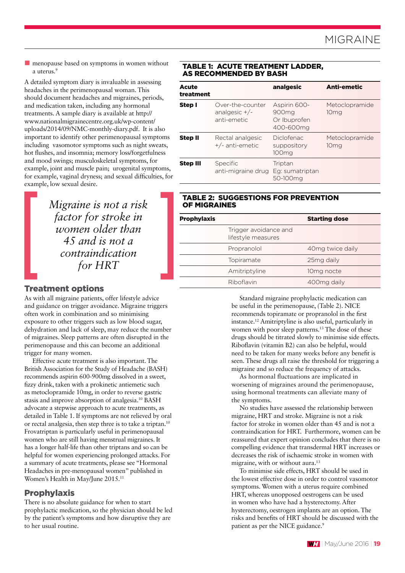**n** menopause based on symptoms in women without a uterus.<sup>9</sup>

A detailed symptom diary is invaluable in assessing headaches in the perimenopausal woman. This should document headaches and migraines, periods, and medication taken, including any hormonal treatments. A sample diary is available at http:// www.nationalmigrainecentre.org.uk/wp-content/ uploads/2014/09/NMC-monthly-diary.pdf. It is also important to identify other perimenopausal symptoms including vasomotor symptoms such as night sweats, hot flushes, and insomnia; memory loss/forgetfulness and mood swings; musculoskeletal symptoms, for example, joint and muscle pain; urogenital symptoms, for example, vaginal dryness; and sexual difficulties, for example, low sexual desire.

> *Migraine is not a risk factor for stroke in women older than 45 and is not a contraindication for HRT*

#### Treatment options

As with all migraine patients, offer lifestyle advice and guidance on trigger avoidance. Migraine triggers often work in combination and so minimising exposure to other triggers such as low blood sugar, dehydration and lack of sleep, may reduce the number of migraines. Sleep patterns are often disrupted in the perimenopause and this can become an additional trigger for many women.

Effective acute treatment is also important. The British Association for the Study of Headache (BASH) recommends aspirin 600-900mg dissolved in a sweet, fizzy drink, taken with a prokinetic antiemetic such as metoclopramide 10mg, in order to reverse gastric stasis and improve absorption of analgesia.<sup>10</sup> BASH advocate a stepwise approach to acute treatments, as detailed in Table 1. If symptoms are not relieved by oral or rectal analgesia, then step three is to take a triptan.<sup>10</sup> Frovatriptan is particularly useful in perimenopausal women who are still having menstrual migraines. It has a longer half-life than other triptans and so can be helpful for women experiencing prolonged attacks. For a summary of acute treatments, please see "Hormonal Headaches in pre-menopausal women" published in Women's Health in May/June 2015.<sup>11</sup>

#### Prophylaxis

There is no absolute guidance for when to start prophylactic medication, so the physician should be led by the patient's symptoms and how disruptive they are to her usual routine.

#### TABLE 1: ACUTE TREATMENT LADDER, AS RECOMMENDED BY BASH

| Acute<br>treatment |                                                    | analgesic                                          | Anti-emetic                        |
|--------------------|----------------------------------------------------|----------------------------------------------------|------------------------------------|
| Step I             | Over-the-counter<br>analgesic $+/-$<br>anti-emetic | Aspirin 600-<br>900mg<br>Or Ibuprofen<br>400-600mg | Metoclopramide<br>10 <sub>mg</sub> |
| <b>Step II</b>     | Rectal analgesic<br>$+/-$ anti-emetic              | Diclofenac<br>suppository<br>100 <sub>ma</sub>     | Metoclopramide<br>10 <sub>mg</sub> |
| <b>Step III</b>    | Specific<br>anti-migraine drug                     | Triptan<br>Eg: sumatriptan<br>50-100mg             |                                    |

#### TABLE 2: SUGGESTIONS FOR PREVENTION OF MIGRAINES

| <b>Prophylaxis</b> |                                             | <b>Starting dose</b>   |  |
|--------------------|---------------------------------------------|------------------------|--|
|                    | Trigger avoidance and<br>lifestyle measures |                        |  |
|                    | Propranolol                                 | 40mg twice daily       |  |
|                    | Topiramate                                  | 25 <sub>mg</sub> daily |  |
|                    | Amitriptyline                               | 10mg nocte             |  |
|                    | Riboflavin                                  | 400mg daily            |  |

Standard migraine prophylactic medication can be useful in the perimenopause, (Table 2). NICE recommends topiramate or propranolol in the first instance.<sup>12</sup> Amitriptyline is also useful, particularly in women with poor sleep patterns.<sup>13</sup> The dose of these drugs should be titrated slowly to minimise side effects. Riboflavin (vitamin B2) can also be helpful, would need to be taken for many weeks before any benefit is seen. These drugs all raise the threshold for triggering a migraine and so reduce the frequency of attacks.

As hormonal fluctuations are implicated in worsening of migraines around the perimenopause, using hormonal treatments can alleviate many of the symptoms.

No studies have assessed the relationship between migraine, HRT and stroke. Migraine is not a risk factor for stroke in women older than 45 and is not a contraindication for HRT. Furthermore, women can be reassured that expert opinion concludes that there is no compelling evidence that transdermal HRT increases or decreases the risk of ischaemic stroke in women with migraine, with or without aura.<sup>13</sup>

To minimise side effects, HRT should be used in the lowest effective dose in order to control vasomotor symptoms. Women with a uterus require combined HRT, whereas unopposed oestrogens can be used in women who have had a hysterectomy. After hysterectomy, oestrogen implants are an option. The risks and benefits of HRT should be discussed with the patient as per the NICE guidance.<sup>9</sup>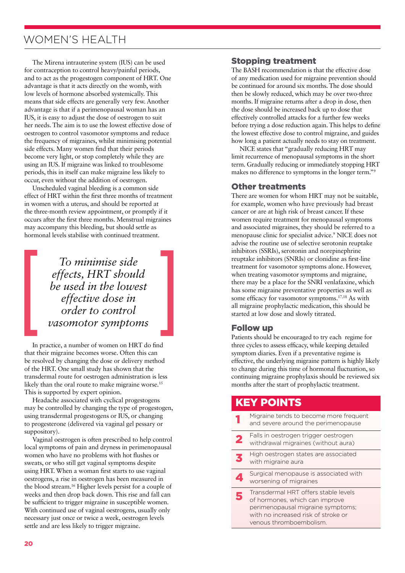# WOMEN'S HEALTH

The Mirena intrauterine system (IUS) can be used for contraception to control heavy/painful periods, and to act as the progestogen component of HRT. One advantage is that it acts directly on the womb, with low levels of hormone absorbed systemically. This means that side effects are generally very few. Another advantage is that if a perimenopausal woman has an IUS, it is easy to adjust the dose of oestrogen to suit her needs. The aim is to use the lowest effective dose of oestrogen to control vasomotor symptoms and reduce the frequency of migraines, whilst minimising potential side effects. Many women find that their periods become very light, or stop completely while they are using an IUS. If migraine was linked to troublesome periods, this in itself can make migraine less likely to occur, even without the addition of oestrogen.

Unscheduled vaginal bleeding is a common side effect of HRT within the first three months of treatment in women with a uterus, and should be reported at the three-month review appointment, or promptly if it occurs after the first three months. Menstrual migraines may accompany this bleeding, but should settle as hormonal levels stabilise with continued treatment.

> *To minimise side effects, HRT should be used in the lowest effective dose in order to control vasomotor symptoms*

In practice, a number of women on HRT do find that their migraine becomes worse. Often this can be resolved by changing the dose or delivery method of the HRT. One small study has shown that the transdermal route for oestrogen administration is less likely than the oral route to make migraine worse.<sup>15</sup> This is supported by expert opinion.

Headache associated with cyclical progestogens may be controlled by changing the type of progestogen, using transdermal progestogens or IUS, or changing to progesterone (delivered via vaginal gel pessary or suppository).

Vaginal oestrogen is often prescribed to help control local symptoms of pain and dryness in perimenopausal women who have no problems with hot flushes or sweats, or who still get vaginal symptoms despite using HRT. When a woman first starts to use vaginal oestrogens, a rise in oestrogen has been measured in the blood stream.<sup>16</sup> Higher levels persist for a couple of weeks and then drop back down. This rise and fall can be sufficient to trigger migraine in susceptible women. With continued use of vaginal oestrogens, usually only necessary just once or twice a week, oestrogen levels settle and are less likely to trigger migraine.

#### Stopping treatment

The BASH recommendation is that the effective dose of any medication used for migraine prevention should be continued for around six months. The dose should then be slowly reduced, which may be over two-three months. If migraine returns after a drop in dose, then the dose should be increased back up to dose that effectively controlled attacks for a further few weeks before trying a dose reduction again. This helps to define the lowest effective dose to control migraine, and guides how long a patient actually needs to stay on treatment.

NICE states that "gradually reducing HRT may limit recurrence of menopausal symptoms in the short term. Gradually reducing or immediately stopping HRT makes no difference to symptoms in the longer term." 9

#### Other treatments

There are women for whom HRT may not be suitable, for example, women who have previously had breast cancer or are at high risk of breast cancer. If these women require treatment for menopausal symptoms and associated migraines, they should be referred to a menopause clinic for specialist advice.<sup>9</sup> NICE does not advise the routine use of selective serotonin reuptake inhibitors (SSRIs), serotonin and norepinephrine reuptake inhibitors (SNRIs) or clonidine as first-line treatment for vasomotor symptoms alone. However, when treating vasomotor symptoms and migraine, there may be a place for the SNRI venlafaxine, which has some migraine preventative properties as well as some efficacy for vasomotor symptoms.<sup>17,18</sup> As with all migraine prophylactic medication, this should be started at low dose and slowly titrated.

#### Follow up

Patients should be encouraged to try each regime for three cycles to assess efficacy, while keeping detailed symptom diaries. Even if a preventative regime is effective, the underlying migraine pattern is highly likely to change during this time of hormonal fluctuation, so continuing migraine prophylaxis should be reviewed six months after the start of prophylactic treatment.

### KEY POINTS

|   | Migraine tends to become more frequent<br>and severe around the perimenopause                                                                                                 |
|---|-------------------------------------------------------------------------------------------------------------------------------------------------------------------------------|
|   | Falls in oestrogen trigger oestrogen<br>withdrawal migraines (without aura)                                                                                                   |
| Ζ | High oestrogen states are associated<br>with migraine aura                                                                                                                    |
|   | Surgical menopause is associated with<br>worsening of migraines                                                                                                               |
|   | Transdermal HRT offers stable levels<br>of hormones, which can improve<br>perimenopausal migraine symptoms;<br>with no increased risk of stroke or<br>venous thromboembolism. |